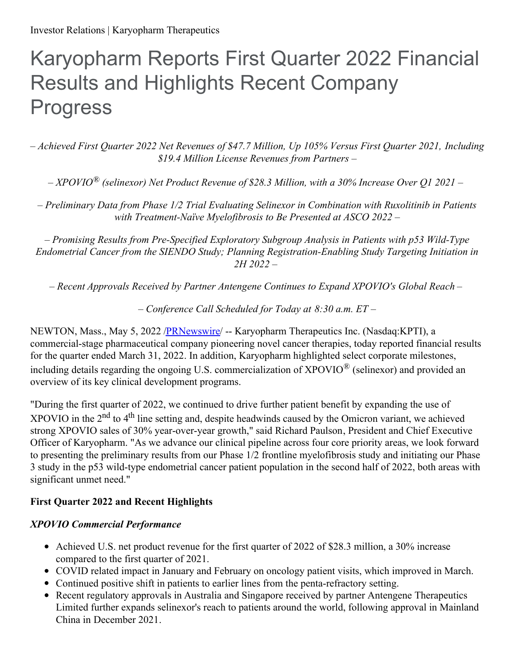# Karyopharm Reports First Quarter 2022 Financial Results and Highlights Recent Company Progress

*– Achieved First Quarter 2022 Net Revenues of \$47.7 Million, Up 105% Versus First Quarter 2021, Including \$19.4 Million License Revenues from Partners –*

*– XPOVIO ® (selinexor) Net Product Revenue of \$28.3 Million, with a 30% Increase Over Q1 2021 –*

*– Preliminary Data from Phase 1/2 Trial Evaluating Selinexor in Combination with Ruxolitinib in Patients with Treatment-Naïve Myelofibrosis to Be Presented at ASCO 2022 –*

*– Promising Results from Pre-Specified Exploratory Subgroup Analysis in Patients with p53 Wild-Type Endometrial Cancer from the SIENDO Study; Planning Registration-Enabling Study Targeting Initiation in 2H 2022 –*

*– Recent Approvals Received by Partner Antengene Continues to Expand XPOVIO's Global Reach –*

*– Conference Call Scheduled for Today at 8:30 a.m. ET –*

NEWTON, Mass., May 5, 2022 [/PRNewswire](http://www.prnewswire.com/)/ -- Karyopharm Therapeutics Inc. (Nasdaq:KPTI), a commercial-stage pharmaceutical company pioneering novel cancer therapies, today reported financial results for the quarter ended March 31, 2022. In addition, Karyopharm highlighted select corporate milestones, including details regarding the ongoing U.S. commercialization of XPOVIO $^{\circledR}$  (selinexor) and provided an overview of its key clinical development programs.

"During the first quarter of 2022, we continued to drive further patient benefit by expanding the use of XPOVIO in the  $2<sup>nd</sup>$  to  $4<sup>th</sup>$  line setting and, despite headwinds caused by the Omicron variant, we achieved strong XPOVIO sales of 30% year-over-year growth," said Richard Paulson, President and Chief Executive Officer of Karyopharm. "As we advance our clinical pipeline across four core priority areas, we look forward to presenting the preliminary results from our Phase 1/2 frontline myelofibrosis study and initiating our Phase 3 study in the p53 wild-type endometrial cancer patient population in the second half of 2022, both areas with significant unmet need."

## **First Quarter 2022 and Recent Highlights**

## *XPOVIO Commercial Performance*

- Achieved U.S. net product revenue for the first quarter of 2022 of \$28.3 million, a 30% increase compared to the first quarter of 2021.
- COVID related impact in January and February on oncology patient visits, which improved in March.
- Continued positive shift in patients to earlier lines from the penta-refractory setting.
- Recent regulatory approvals in Australia and Singapore received by partner Antengene Therapeutics Limited further expands selinexor's reach to patients around the world, following approval in Mainland China in December 2021.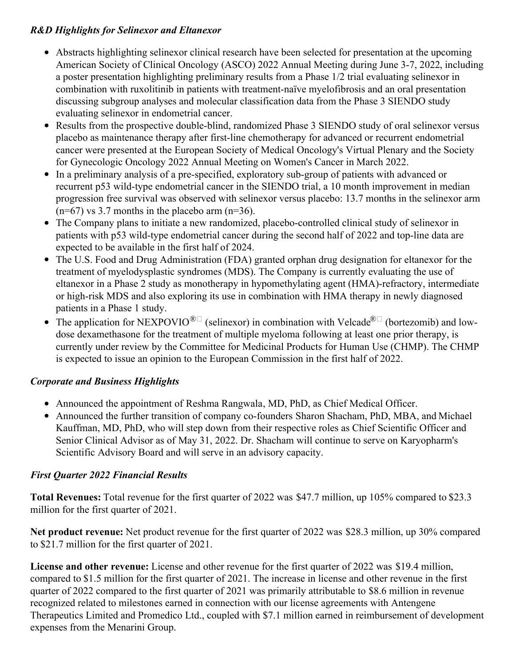## *R&D Highlights for Selinexor and Eltanexor*

- Abstracts highlighting selinexor clinical research have been selected for presentation at the upcoming American Society of Clinical Oncology (ASCO) 2022 Annual Meeting during June 3-7, 2022, including a poster presentation highlighting preliminary results from a Phase 1/2 trial evaluating selinexor in combination with ruxolitinib in patients with treatment-naïve myelofibrosis and an oral presentation discussing subgroup analyses and molecular classification data from the Phase 3 SIENDO study evaluating selinexor in endometrial cancer.
- Results from the prospective double-blind, randomized Phase 3 SIENDO study of oral selinexor versus placebo as maintenance therapy after first-line chemotherapy for advanced or recurrent endometrial cancer were presented at the European Society of Medical Oncology's Virtual Plenary and the Society for Gynecologic Oncology 2022 Annual Meeting on Women's Cancer in March 2022.
- In a preliminary analysis of a pre-specified, exploratory sub-group of patients with advanced or recurrent p53 wild-type endometrial cancer in the SIENDO trial, a 10 month improvement in median progression free survival was observed with selinexor versus placebo: 13.7 months in the selinexor arm  $(n=67)$  vs 3.7 months in the placebo arm  $(n=36)$ .
- The Company plans to initiate a new randomized, placebo-controlled clinical study of selinexor in patients with p53 wild-type endometrial cancer during the second half of 2022 and top-line data are expected to be available in the first half of 2024.
- The U.S. Food and Drug Administration (FDA) granted orphan drug designation for eltanexor for the treatment of myelodysplastic syndromes (MDS). The Company is currently evaluating the use of eltanexor in a Phase 2 study as monotherapy in hypomethylating agent (HMA)-refractory, intermediate or high-risk MDS and also exploring its use in combination with HMA therapy in newly diagnosed patients in a Phase 1 study.
- The application for NEXPOVIO<sup>®</sup> (selinexor) in combination with Velcade<sup>®</sup> (bortezomib) and lowdose dexamethasone for the treatment of multiple myeloma following at least one prior therapy, is currently under review by the Committee for Medicinal Products for Human Use (CHMP). The CHMP is expected to issue an opinion to the European Commission in the first half of 2022.

## *Corporate and Business Highlights*

- Announced the appointment of Reshma Rangwala, MD, PhD, as Chief Medical Officer.
- Announced the further transition of company co-founders Sharon Shacham, PhD, MBA, and Michael Kauffman, MD, PhD, who will step down from their respective roles as Chief Scientific Officer and Senior Clinical Advisor as of May 31, 2022. Dr. Shacham will continue to serve on Karyopharm's Scientific Advisory Board and will serve in an advisory capacity.

# *First Quarter 2022 Financial Results*

**Total Revenues:** Total revenue for the first quarter of 2022 was \$47.7 million, up 105% compared to \$23.3 million for the first quarter of 2021.

**Net product revenue:** Net product revenue for the first quarter of 2022 was \$28.3 million, up 30% compared to \$21.7 million for the first quarter of 2021.

**License and other revenue:** License and other revenue for the first quarter of 2022 was \$19.4 million, compared to \$1.5 million for the first quarter of 2021. The increase in license and other revenue in the first quarter of 2022 compared to the first quarter of 2021 was primarily attributable to \$8.6 million in revenue recognized related to milestones earned in connection with our license agreements with Antengene Therapeutics Limited and Promedico Ltd., coupled with \$7.1 million earned in reimbursement of development expenses from the Menarini Group.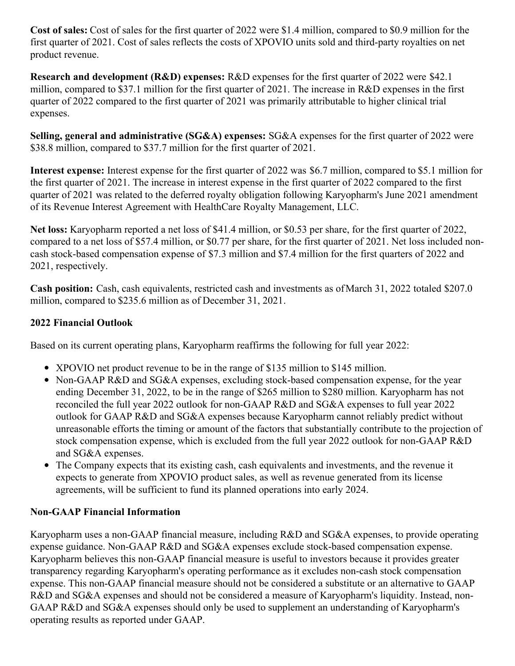**Cost of sales:** Cost of sales for the first quarter of 2022 were \$1.4 million, compared to \$0.9 million for the first quarter of 2021. Cost of sales reflects the costs of XPOVIO units sold and third-party royalties on net product revenue.

**Research and development (R&D) expenses:** R&D expenses for the first quarter of 2022 were \$42.1 million, compared to \$37.1 million for the first quarter of 2021. The increase in R&D expenses in the first quarter of 2022 compared to the first quarter of 2021 was primarily attributable to higher clinical trial expenses.

**Selling, general and administrative (SG&A) expenses:** SG&A expenses for the first quarter of 2022 were \$38.8 million, compared to \$37.7 million for the first quarter of 2021.

**Interest expense:** Interest expense for the first quarter of 2022 was \$6.7 million, compared to \$5.1 million for the first quarter of 2021. The increase in interest expense in the first quarter of 2022 compared to the first quarter of 2021 was related to the deferred royalty obligation following Karyopharm's June 2021 amendment of its Revenue Interest Agreement with HealthCare Royalty Management, LLC.

**Net loss:** Karyopharm reported a net loss of \$41.4 million, or \$0.53 per share, for the first quarter of 2022, compared to a net loss of \$57.4 million, or \$0.77 per share, for the first quarter of 2021. Net loss included noncash stock-based compensation expense of \$7.3 million and \$7.4 million for the first quarters of 2022 and 2021, respectively.

**Cash position:** Cash, cash equivalents, restricted cash and investments as ofMarch 31, 2022 totaled \$207.0 million, compared to \$235.6 million as of December 31, 2021.

## **2022 Financial Outlook**

Based on its current operating plans, Karyopharm reaffirms the following for full year 2022:

- XPOVIO net product revenue to be in the range of \$135 million to \$145 million.
- Non-GAAP R&D and SG&A expenses, excluding stock-based compensation expense, for the year ending December 31, 2022, to be in the range of \$265 million to \$280 million. Karyopharm has not reconciled the full year 2022 outlook for non-GAAP R&D and SG&A expenses to full year 2022 outlook for GAAP R&D and SG&A expenses because Karyopharm cannot reliably predict without unreasonable efforts the timing or amount of the factors that substantially contribute to the projection of stock compensation expense, which is excluded from the full year 2022 outlook for non-GAAP R&D and SG&A expenses.
- The Company expects that its existing cash, cash equivalents and investments, and the revenue it expects to generate from XPOVIO product sales, as well as revenue generated from its license agreements, will be sufficient to fund its planned operations into early 2024.

## **Non-GAAP Financial Information**

Karyopharm uses a non-GAAP financial measure, including R&D and SG&A expenses, to provide operating expense guidance. Non-GAAP R&D and SG&A expenses exclude stock-based compensation expense. Karyopharm believes this non-GAAP financial measure is useful to investors because it provides greater transparency regarding Karyopharm's operating performance as it excludes non-cash stock compensation expense. This non-GAAP financial measure should not be considered a substitute or an alternative to GAAP R&D and SG&A expenses and should not be considered a measure of Karyopharm's liquidity. Instead, non-GAAP R&D and SG&A expenses should only be used to supplement an understanding of Karyopharm's operating results as reported under GAAP.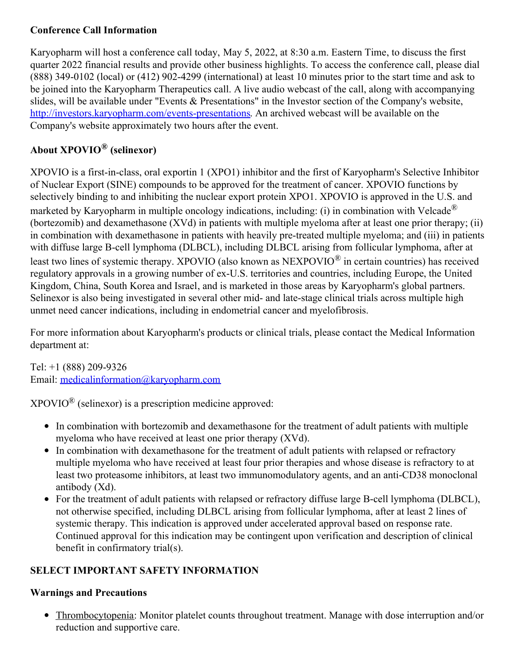## **Conference Call Information**

Karyopharm will host a conference call today, May 5, 2022, at 8:30 a.m. Eastern Time, to discuss the first quarter 2022 financial results and provide other business highlights. To access the conference call, please dial (888) 349-0102 (local) or (412) 902-4299 (international) at least 10 minutes prior to the start time and ask to be joined into the Karyopharm Therapeutics call. A live audio webcast of the call, along with accompanying slides, will be available under "Events & Presentations" in the Investor section of the Company's website, [http://investors.karyopharm.com/events-presentations](https://c212.net/c/link/?t=0&l=en&o=3526574-1&h=3963492978&u=http%3A%2F%2Finvestors.karyopharm.com%2Fevents-presentations&a=http%3A%2F%2Finvestors.karyopharm.com%2Fevents-presentations). An archived webcast will be available on the Company's website approximately two hours after the event.

# **About XPOVIO® (selinexor)**

XPOVIO is a first-in-class, oral exportin 1 (XPO1) inhibitor and the first of Karyopharm's Selective Inhibitor of Nuclear Export (SINE) compounds to be approved for the treatment of cancer. XPOVIO functions by selectively binding to and inhibiting the nuclear export protein XPO1. XPOVIO is approved in the U.S. and marketed by Karyopharm in multiple oncology indications, including: (i) in combination with Velcade<sup>®</sup> (bortezomib) and dexamethasone (XVd) in patients with multiple myeloma after at least one prior therapy; (ii) in combination with dexamethasone in patients with heavily pre-treated multiple myeloma; and (iii) in patients with diffuse large B-cell lymphoma (DLBCL), including DLBCL arising from follicular lymphoma, after at least two lines of systemic therapy. XPOVIO (also known as NEXPOVIO $^{\circledR}$  in certain countries) has received regulatory approvals in a growing number of ex-U.S. territories and countries, including Europe, the United Kingdom, China, South Korea and Israel, and is marketed in those areas by Karyopharm's global partners. Selinexor is also being investigated in several other mid- and late-stage clinical trials across multiple high unmet need cancer indications, including in endometrial cancer and myelofibrosis.

For more information about Karyopharm's products or clinical trials, please contact the Medical Information department at:

Tel: +1 (888) 209-9326 Email: [medicalinformation@karyopharm.com](mailto:medicalinformation@karyopharm.com)

 $XPOVIO^{\circledR}$  (selinexor) is a prescription medicine approved:

- In combination with bortezomib and dexamethasone for the treatment of adult patients with multiple myeloma who have received at least one prior therapy (XVd).
- In combination with dexamethasone for the treatment of adult patients with relapsed or refractory multiple myeloma who have received at least four prior therapies and whose disease is refractory to at least two proteasome inhibitors, at least two immunomodulatory agents, and an anti‐CD38 monoclonal antibody (Xd).
- For the treatment of adult patients with relapsed or refractory diffuse large B‐cell lymphoma (DLBCL), not otherwise specified, including DLBCL arising from follicular lymphoma, after at least 2 lines of systemic therapy. This indication is approved under accelerated approval based on response rate. Continued approval for this indication may be contingent upon verification and description of clinical benefit in confirmatory trial(s).

# **SELECT IMPORTANT SAFETY INFORMATION**

## **Warnings and Precautions**

Thrombocytopenia: Monitor platelet counts throughout treatment. Manage with dose interruption and/or reduction and supportive care.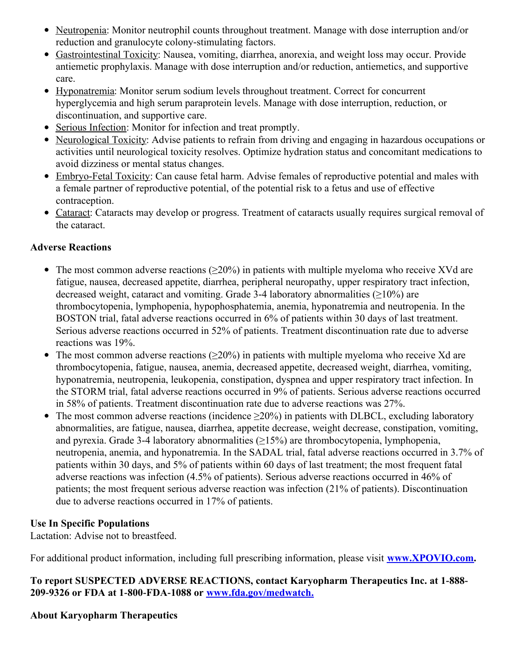- Neutropenia: Monitor neutrophil counts throughout treatment. Manage with dose interruption and/or reduction and granulocyte colony‐stimulating factors.
- Gastrointestinal Toxicity: Nausea, vomiting, diarrhea, anorexia, and weight loss may occur. Provide antiemetic prophylaxis. Manage with dose interruption and/or reduction, antiemetics, and supportive care.
- Hyponatremia: Monitor serum sodium levels throughout treatment. Correct for concurrent hyperglycemia and high serum paraprotein levels. Manage with dose interruption, reduction, or discontinuation, and supportive care.
- Serious Infection: Monitor for infection and treat promptly.
- Neurological Toxicity: Advise patients to refrain from driving and engaging in hazardous occupations or activities until neurological toxicity resolves. Optimize hydration status and concomitant medications to avoid dizziness or mental status changes.
- Embryo-Fetal Toxicity: Can cause fetal harm. Advise females of reproductive potential and males with a female partner of reproductive potential, of the potential risk to a fetus and use of effective contraception.
- Cataract: Cataracts may develop or progress. Treatment of cataracts usually requires surgical removal of the cataract.

## **Adverse Reactions**

- The most common adverse reactions ( $\geq$ 20%) in patients with multiple myeloma who receive XVd are fatigue, nausea, decreased appetite, diarrhea, peripheral neuropathy, upper respiratory tract infection, decreased weight, cataract and vomiting. Grade 3-4 laboratory abnormalities  $(\geq 10\%)$  are thrombocytopenia, lymphopenia, hypophosphatemia, anemia, hyponatremia and neutropenia. In the BOSTON trial, fatal adverse reactions occurred in 6% of patients within 30 days of last treatment. Serious adverse reactions occurred in 52% of patients. Treatment discontinuation rate due to adverse reactions was 19%.
- The most common adverse reactions  $(\geq 20\%)$  in patients with multiple myeloma who receive Xd are  $\bullet$ thrombocytopenia, fatigue, nausea, anemia, decreased appetite, decreased weight, diarrhea, vomiting, hyponatremia, neutropenia, leukopenia, constipation, dyspnea and upper respiratory tract infection. In the STORM trial, fatal adverse reactions occurred in 9% of patients. Serious adverse reactions occurred in 58% of patients. Treatment discontinuation rate due to adverse reactions was 27%.
- The most common adverse reactions (incidence  $\geq$ 20%) in patients with DLBCL, excluding laboratory  $\bullet$ abnormalities, are fatigue, nausea, diarrhea, appetite decrease, weight decrease, constipation, vomiting, and pyrexia. Grade 3‐4 laboratory abnormalities (≥15%) are thrombocytopenia, lymphopenia, neutropenia, anemia, and hyponatremia. In the SADAL trial, fatal adverse reactions occurred in 3.7% of patients within 30 days, and 5% of patients within 60 days of last treatment; the most frequent fatal adverse reactions was infection (4.5% of patients). Serious adverse reactions occurred in 46% of patients; the most frequent serious adverse reaction was infection (21% of patients). Discontinuation due to adverse reactions occurred in 17% of patients.

## **Use In Specific Populations**

Lactation: Advise not to breastfeed.

For additional product information, including full prescribing information, please visit **[www.XPOVIO.com](https://c212.net/c/link/?t=0&l=en&o=3526574-1&h=2072560834&u=http%3A%2F%2Fwww.XPOVIO.com&a=www.XPOVIO.com).**

**To report SUSPECTED ADVERSE REACTIONS, contact Karyopharm Therapeutics Inc. at 1‐888‐ 209‐9326 or FDA at 1‐800‐FDA‐1088 or [www.fda.gov/medwatch.](https://c212.net/c/link/?t=0&l=en&o=3526574-1&h=2063481101&u=http%3A%2F%2Fwww.fda.gov%2Fmedwatch&a=www.fda.gov%2Fmedwatch.)**

## **About Karyopharm Therapeutics**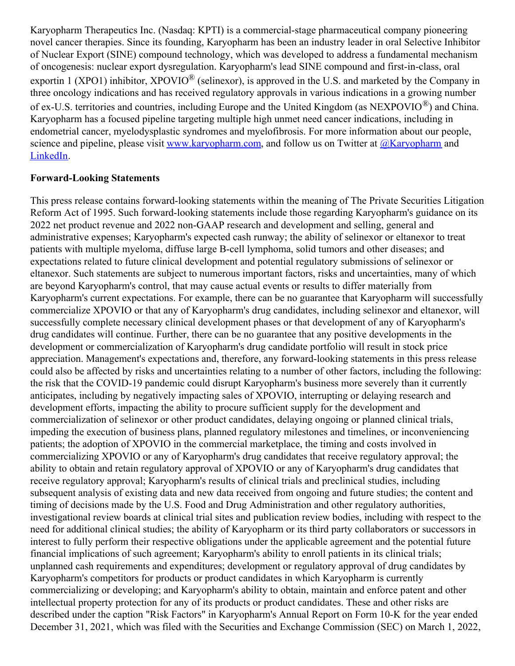Karyopharm Therapeutics Inc. (Nasdaq: KPTI) is a commercial-stage pharmaceutical company pioneering novel cancer therapies. Since its founding, Karyopharm has been an industry leader in oral Selective Inhibitor of Nuclear Export (SINE) compound technology, which was developed to address a fundamental mechanism of oncogenesis: nuclear export dysregulation. Karyopharm's lead SINE compound and first-in-class, oral exportin 1 (XPO1) inhibitor, XPOVIO<sup>®</sup> (selinexor), is approved in the U.S. and marketed by the Company in three oncology indications and has received regulatory approvals in various indications in a growing number of ex-U.S. territories and countries, including Europe and the United Kingdom (as NEXPOVIO $^{\circledR}$ ) and China. Karyopharm has a focused pipeline targeting multiple high unmet need cancer indications, including in endometrial cancer, myelodysplastic syndromes and myelofibrosis. For more information about our people, science and pipeline, please visit [www.karyopharm.com](https://c212.net/c/link/?t=0&l=en&o=3526574-1&h=1986914563&u=https%3A%2F%2Fwww.karyopharm.com%2F&a=www.karyopharm.com), and follow us on Twitter at  $@$ Karyopharm and [LinkedIn](https://c212.net/c/link/?t=0&l=en&o=3526574-1&h=2628627717&u=https%3A%2F%2Fwww.linkedin.com%2Fcompany%2Fkaryopharm%2F&a=LinkedIn).

#### **Forward-Looking Statements**

This press release contains forward-looking statements within the meaning of The Private Securities Litigation Reform Act of 1995. Such forward-looking statements include those regarding Karyopharm's guidance on its 2022 net product revenue and 2022 non-GAAP research and development and selling, general and administrative expenses; Karyopharm's expected cash runway; the ability of selinexor or eltanexor to treat patients with multiple myeloma, diffuse large B-cell lymphoma, solid tumors and other diseases; and expectations related to future clinical development and potential regulatory submissions of selinexor or eltanexor. Such statements are subject to numerous important factors, risks and uncertainties, many of which are beyond Karyopharm's control, that may cause actual events or results to differ materially from Karyopharm's current expectations. For example, there can be no guarantee that Karyopharm will successfully commercialize XPOVIO or that any of Karyopharm's drug candidates, including selinexor and eltanexor, will successfully complete necessary clinical development phases or that development of any of Karyopharm's drug candidates will continue. Further, there can be no guarantee that any positive developments in the development or commercialization of Karyopharm's drug candidate portfolio will result in stock price appreciation. Management's expectations and, therefore, any forward-looking statements in this press release could also be affected by risks and uncertainties relating to a number of other factors, including the following: the risk that the COVID-19 pandemic could disrupt Karyopharm's business more severely than it currently anticipates, including by negatively impacting sales of XPOVIO, interrupting or delaying research and development efforts, impacting the ability to procure sufficient supply for the development and commercialization of selinexor or other product candidates, delaying ongoing or planned clinical trials, impeding the execution of business plans, planned regulatory milestones and timelines, or inconveniencing patients; the adoption of XPOVIO in the commercial marketplace, the timing and costs involved in commercializing XPOVIO or any of Karyopharm's drug candidates that receive regulatory approval; the ability to obtain and retain regulatory approval of XPOVIO or any of Karyopharm's drug candidates that receive regulatory approval; Karyopharm's results of clinical trials and preclinical studies, including subsequent analysis of existing data and new data received from ongoing and future studies; the content and timing of decisions made by the U.S. Food and Drug Administration and other regulatory authorities, investigational review boards at clinical trial sites and publication review bodies, including with respect to the need for additional clinical studies; the ability of Karyopharm or its third party collaborators or successors in interest to fully perform their respective obligations under the applicable agreement and the potential future financial implications of such agreement; Karyopharm's ability to enroll patients in its clinical trials; unplanned cash requirements and expenditures; development or regulatory approval of drug candidates by Karyopharm's competitors for products or product candidates in which Karyopharm is currently commercializing or developing; and Karyopharm's ability to obtain, maintain and enforce patent and other intellectual property protection for any of its products or product candidates. These and other risks are described under the caption "Risk Factors" in Karyopharm's Annual Report on Form 10-K for the year ended December 31, 2021, which was filed with the Securities and Exchange Commission (SEC) on March 1, 2022,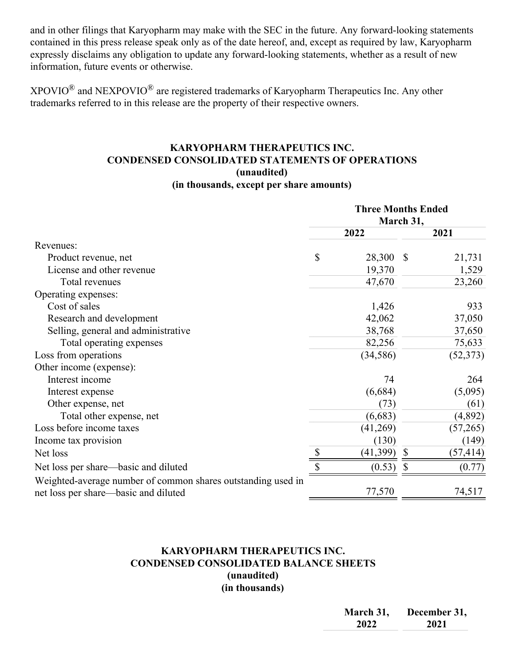and in other filings that Karyopharm may make with the SEC in the future. Any forward-looking statements contained in this press release speak only as of the date hereof, and, except as required by law, Karyopharm expressly disclaims any obligation to update any forward-looking statements, whether as a result of new information, future events or otherwise.

 $XPOVIO^{\circledR}$  and NEXPOVIO<sup> $\circledR$ </sup> are registered trademarks of Karyopharm Therapeutics Inc. Any other trademarks referred to in this release are the property of their respective owners.

#### **KARYOPHARM THERAPEUTICS INC. CONDENSED CONSOLIDATED STATEMENTS OF OPERATIONS (unaudited) (in thousands, except per share amounts)**

|                                                              | <b>Three Months Ended</b><br>March 31, |           |               |           |
|--------------------------------------------------------------|----------------------------------------|-----------|---------------|-----------|
|                                                              |                                        | 2022      | 2021          |           |
| Revenues:                                                    |                                        |           |               |           |
| Product revenue, net                                         | \$                                     | 28,300    | $\mathcal{S}$ | 21,731    |
| License and other revenue                                    |                                        | 19,370    |               | 1,529     |
| Total revenues                                               |                                        | 47,670    |               | 23,260    |
| Operating expenses:                                          |                                        |           |               |           |
| Cost of sales                                                |                                        | 1,426     |               | 933       |
| Research and development                                     |                                        | 42,062    |               | 37,050    |
| Selling, general and administrative                          |                                        | 38,768    |               | 37,650    |
| Total operating expenses                                     |                                        | 82,256    |               | 75,633    |
| Loss from operations                                         |                                        | (34, 586) |               | (52, 373) |
| Other income (expense):                                      |                                        |           |               |           |
| Interest income                                              |                                        | 74        |               | 264       |
| Interest expense                                             |                                        | (6,684)   |               | (5,095)   |
| Other expense, net                                           |                                        | (73)      |               | (61)      |
| Total other expense, net                                     |                                        | (6,683)   |               | (4,892)   |
| Loss before income taxes                                     |                                        | (41,269)  |               | (57,265)  |
| Income tax provision                                         |                                        | (130)     |               | (149)     |
| Net loss                                                     |                                        | (41, 399) | $\mathbb{S}$  | (57, 414) |
| Net loss per share—basic and diluted                         |                                        | (0.53)    | \$            | (0.77)    |
| Weighted-average number of common shares outstanding used in |                                        |           |               |           |
| net loss per share—basic and diluted                         |                                        | 77,570    |               | 74,517    |

#### **KARYOPHARM THERAPEUTICS INC. CONDENSED CONSOLIDATED BALANCE SHEETS (unaudited) (in thousands)**

| March 31, | December 31, |
|-----------|--------------|
| 2022      | 2021         |